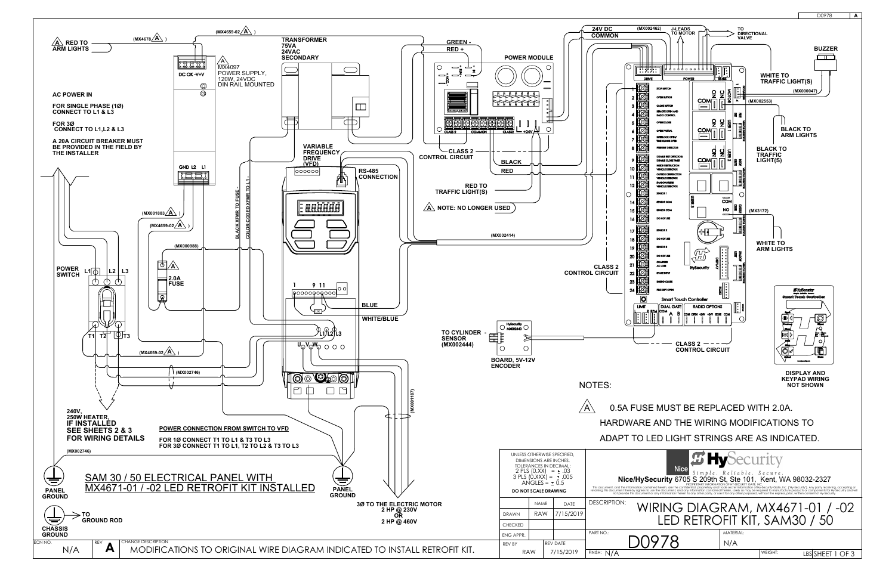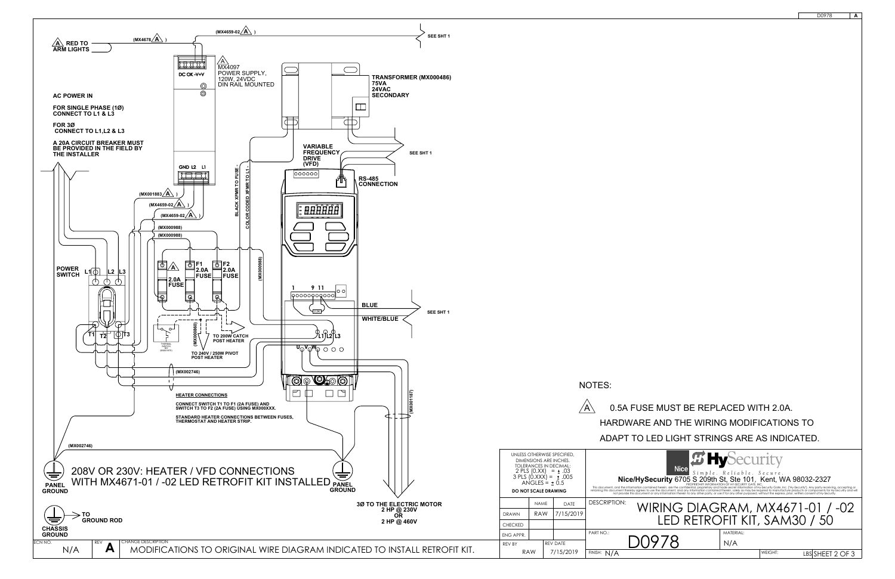

|                                                                                                                                                                                                                                   | D0978           | Α |
|-----------------------------------------------------------------------------------------------------------------------------------------------------------------------------------------------------------------------------------|-----------------|---|
|                                                                                                                                                                                                                                   |                 |   |
|                                                                                                                                                                                                                                   |                 |   |
|                                                                                                                                                                                                                                   |                 |   |
|                                                                                                                                                                                                                                   |                 |   |
|                                                                                                                                                                                                                                   |                 |   |
|                                                                                                                                                                                                                                   |                 |   |
|                                                                                                                                                                                                                                   |                 |   |
|                                                                                                                                                                                                                                   |                 |   |
|                                                                                                                                                                                                                                   |                 |   |
|                                                                                                                                                                                                                                   |                 |   |
|                                                                                                                                                                                                                                   |                 |   |
|                                                                                                                                                                                                                                   |                 |   |
|                                                                                                                                                                                                                                   |                 |   |
|                                                                                                                                                                                                                                   |                 |   |
|                                                                                                                                                                                                                                   |                 |   |
|                                                                                                                                                                                                                                   |                 |   |
|                                                                                                                                                                                                                                   |                 |   |
|                                                                                                                                                                                                                                   |                 |   |
|                                                                                                                                                                                                                                   |                 |   |
|                                                                                                                                                                                                                                   |                 |   |
|                                                                                                                                                                                                                                   |                 |   |
|                                                                                                                                                                                                                                   |                 |   |
|                                                                                                                                                                                                                                   |                 |   |
|                                                                                                                                                                                                                                   |                 |   |
| TES:                                                                                                                                                                                                                              |                 |   |
| 0.5A FUSE MUST BE REPLACED WITH 2.0A.                                                                                                                                                                                             |                 |   |
| HARDWARE AND THE WIRING MODIFICATIONS TO                                                                                                                                                                                          |                 |   |
| ADAPT TO LED LIGHT STRINGS ARE AS INDICATED.                                                                                                                                                                                      |                 |   |
|                                                                                                                                                                                                                                   |                 |   |
| <b><i>E</i></b> HySecurity<br><b>Nice</b>                                                                                                                                                                                         |                 |   |
| <b>NICE</b> $S \text{ in } p l e$ . Reliable. Secure.<br><b>Nice/HySecurity</b> 6705 S 209th St, Ste 101, Kent, WA 98032-2327                                                                                                     |                 |   |
| This document, and the information contained herein, are the confidential, proprietary and trade secret information of Hy-Security Gate, Inc. ["Hy-Security"]. Any party receiving, accepting or<br>retaining this document there |                 |   |
| DESCRIPTION:<br>WIRING DIAGRAM, MX4671-01 / -02<br>LED RETROFIT KIT, SAM30 / 50                                                                                                                                                   |                 |   |
| ART NO.:<br>MATERIAL:<br>N/A                                                                                                                                                                                                      |                 |   |
| INISH: N/A<br>WEIGHT:                                                                                                                                                                                                             | LBSSHEET 2 OF 3 |   |
|                                                                                                                                                                                                                                   |                 |   |